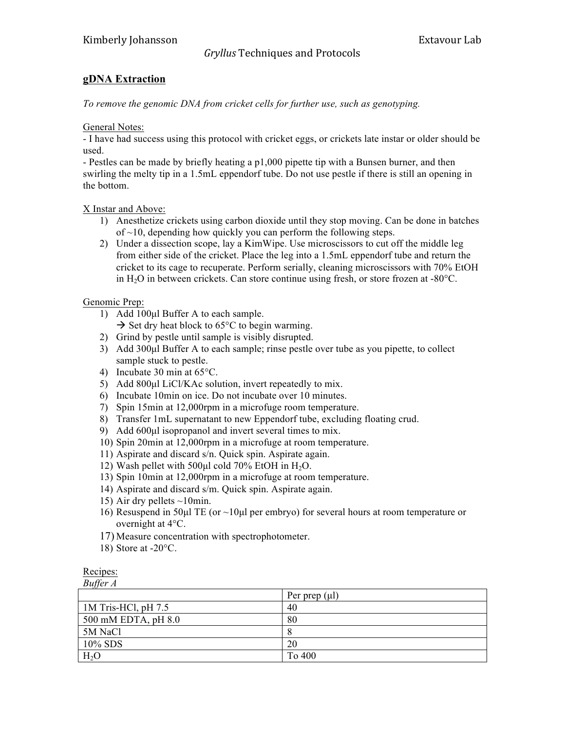## *Gryllus'*Techniques)and)Protocols

## **gDNA Extraction**

*To remove the genomic DNA from cricket cells for further use, such as genotyping.* 

General Notes:

- I have had success using this protocol with cricket eggs, or crickets late instar or older should be used.

- Pestles can be made by briefly heating a p1,000 pipette tip with a Bunsen burner, and then swirling the melty tip in a 1.5mL eppendorf tube. Do not use pestle if there is still an opening in the bottom.

X Instar and Above:

- 1) Anesthetize crickets using carbon dioxide until they stop moving. Can be done in batches of  $\sim$ 10, depending how quickly you can perform the following steps.
- 2) Under a dissection scope, lay a KimWipe. Use microscissors to cut off the middle leg from either side of the cricket. Place the leg into a 1.5mL eppendorf tube and return the cricket to its cage to recuperate. Perform serially, cleaning microscissors with 70% EtOH in  $H_2O$  in between crickets. Can store continue using fresh, or store frozen at -80 $^{\circ}$ C.

Genomic Prep:

- 1) Add 100µl Buffer A to each sample.
	- $\rightarrow$  Set dry heat block to 65 $\degree$ C to begin warming.
- 2) Grind by pestle until sample is visibly disrupted.
- 3) Add 300µl Buffer A to each sample; rinse pestle over tube as you pipette, to collect sample stuck to pestle.
- 4) Incubate 30 min at 65°C.
- 5) Add 800ul LiCl/KAc solution, invert repeatedly to mix.
- 6) Incubate 10min on ice. Do not incubate over 10 minutes.
- 7) Spin 15min at 12,000rpm in a microfuge room temperature.
- 8) Transfer 1mL supernatant to new Eppendorf tube, excluding floating crud.
- 9) Add 600 $\mu$ l isopropanol and invert several times to mix.
- 10) Spin 20min at 12,000rpm in a microfuge at room temperature.
- 11) Aspirate and discard s/n. Quick spin. Aspirate again.
- 12) Wash pellet with 500 $\mu$ l cold 70% EtOH in H<sub>2</sub>O.
- 13) Spin 10min at 12,000rpm in a microfuge at room temperature.
- 14) Aspirate and discard s/m. Quick spin. Aspirate again.
- 15) Air dry pellets  $\sim$ 10min.
- 16) Resuspend in 50µl TE (or ~10µl per embryo) for several hours at room temperature or overnight at 4°C.
- 17) Measure concentration with spectrophotometer.
- 18) Store at -20°C.

Recipes: *Buffer A*

| $\n  U$               |                    |
|-----------------------|--------------------|
|                       | Per prep $(\mu l)$ |
| 1M Tris-HCl, $pH 7.5$ | 40                 |
| 500 mM EDTA, $pH$ 8.0 | 80                 |
| 5M NaCl               |                    |
| 10% SDS               | 20                 |
| $H_2O$                | To 400             |